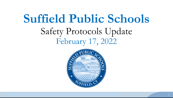# **Suffield Public Schools** Safety Protocols Update February 17, 2022

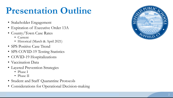## **Presentation Outline**

- Stakeholder Engagement
- Expiration of Executive Order 13A
- County/Town Case Rates
	- Current
	- Historical (March & April 2021)
- SPS Positive Case Trend
- SPS COVID-19 Testing Statistics
- COVID-19 Hospitalizations
- Vaccination Data
- Layered Prevention Strategies
	- Phase I
	- Phase II
- Student and Staff Quarantine Protocols
- Considerations for Operational Decision-making

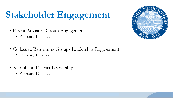# **Stakeholder Engagement**

- Parent Advisory Group Engagement
	- February 10, 2022
- Collective Bargaining Groups Leadership Engagement
	- February 10, 2022
- School and District Leadership
	- February 17, 2022

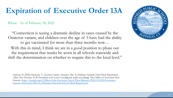### **Expiration of Executive Order 13A**

When: As of February 28, 2022

"Connecticut is seeing a dramatic decline in cases caused by the Omicron variant, and children over the age of 5 have had the ability to get vaccinated for more than three months now…

With this in mind, I think we are in a good position to phase out the requirement that masks be worn in all schools statewide and shift the determination on whether to require this to the local level."

Lamont, N. (2022, February 7). *Governor Lamont Announces Plan To Eliminate Statewide School Mask Requirement, Allow These Decisions To Be Determined at the Local Level* [Speech audio recording]. The Office of Governor Ned [Lamont. https://portal.ct.gov/Office-of-the-Governor/News/Press-Releases/2022/02-2022/Governor-](https://portal.ct.gov/Office-of-the-Governor/News/Press-Releases/2022/02-2022/Governor-Lamont-Announces-Plan-To-Eliminate-Statewide-School-Mask-Requirement)Lamont-Announces-Plan-To-Eliminate-Statewide-School-Mask-Requirement

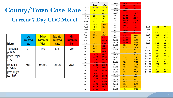### **County/Town Case Rate Current 7 Day CDC Model**

| <b>Indicator</b>                                                                   | Low<br><b>Transmission</b><br><b>Blue</b> | <b>Moderate</b><br><b>Transmission</b><br>Yellow | <b>Substantial</b><br><b>Transmission</b><br><b>Orange</b> | <b>High</b><br><b>Transmission</b><br><b>Red</b> |
|------------------------------------------------------------------------------------|-------------------------------------------|--------------------------------------------------|------------------------------------------------------------|--------------------------------------------------|
| Total new cases<br>per 100,000<br>persons in the past<br>$7$ days <sup>2</sup>     | $0-9$                                     | 10-49                                            | 50-99                                                      | ≥100                                             |
| Percentage of<br>NAATs that are<br>positive during the<br>past 7 days <sup>3</sup> | $5.0\%$                                   | 5.0%-7.9%                                        | 8.0%-9.9%                                                  | ≥10.0%                                           |

|                  | Hartford       | Suffield       | Jan        |
|------------------|----------------|----------------|------------|
|                  | County         | 46.52          | Jan        |
| Feb 14           | 24.72          |                | Jan        |
| Feb 13           | 25.74          | 46.52          | Jan        |
| Feb 12           | 27.29          | 48.33          | Jan        |
| Feb 11           | 28.84          | 48.33          | Jaı        |
| Feb 10           | 30.38          | 48.33          | Jaı        |
| Feb 9            | 32.83          | 48.33          | Jaı<br>Jaı |
| Feb 8            | 36.38          | 54.2           | Jaı        |
| Feb 7            | 40.22          | 61.43          | Jaı        |
| Feb 6            | 46.07          | 72.72          | Jaı        |
| Feb 5            | 52.82          | 76.79          | Jaı        |
| Feb 4            | 59.58          | 95.76          | Jaı        |
| Feb 3            | 66.33          | <u>114.73</u>  | Deo        |
| Feb <sub>2</sub> | 71.83          | 124.21         | Deo        |
| Feb 1            | 77.96          | 128.28         | Deo        |
| Jan 31           | 84.69          | 133.7          | Deo        |
| Jan 30           | 88.55          | 140.47         | Deo        |
| Jan 29           | 96.27          | 163.96         | Deo        |
| Jan 28           | 104.00         | 169.83         | Deo        |
| Jan 27           | 111.73         | 194.22         | Deo<br>Deo |
| Jan 26           | 122.39         | 163.96         | Deo        |
| <b>Jan 25</b>    | 138.78         | 183.83         | Deo        |
| Jan 24           | 146.63         | 196.48         | Deo        |
| <b>Jan 23</b>    | 152.82         | <u> 190.16</u> | Deo        |
| Jan 22           | 159.30         |                | Deo        |
|                  |                | 181.58         | Deo        |
| Jan 21           | 165.77         | <u> 172.99</u> | Dec        |
| Jan 20           | 172.25         | 164.41         | Deo        |
| Jan 19           | 187.37         | 164.86         | Deo        |
| Jan 18           | <u> 198.00</u> | 178.87         | Deo        |
| Jan 17           | 213.65         | 190.61         | Deo        |
| Jan 16           | 233.04         | 194.67         | Deo        |
| Jan 15           | 232.65         | 175.7          | Deo        |

| Jan 14        | 232.26 | 173.9  |
|---------------|--------|--------|
| <b>Jan 13</b> | 231.87 | 153.57 |
| Jan 12        | 226.27 | 187.45 |
| Jan 11        | 220.19 | 172.54 |
| Jan 10        | 221.96 | 162.6  |
| Jan 9         | 221.88 | 159.44 |
| Jan 8         | 213.70 | 153.57 |
| Jan 7         | 205.53 | 147.7  |
| Jan 6         | 197.35 | 141.83 |
| Jan 5         | 180.60 | 137.31 |
| Jan 4         | 166.24 | 120.6  |
| Jan 3         | 145.47 | 103.89 |
| Jan 2         | 130.14 | 102.53 |
| Jan 1         | 123.86 | 98.47  |
| <b>Dec 31</b> | 117.57 | 94.4   |
| Dec 30        | 111.28 | 90.34  |
| <b>Dec 29</b> | 104.37 | 84.92  |
| Dec 28        | 92.64  | 79.04  |
| <b>Dec 27</b> | 81.80  | 70.01  |
| Dec 26        | 74.38  | 68.2   |
| Dec 25        | 73.28  | 69.56  |
| Dec 24        | 72.18  | 71.37  |
| Dec 23        | 71.08  | 72.72  |
| <b>Dec 22</b> | 72.10  | 73.62  |
| Dec 21        | 72.48  | 75.88  |
| Dec 20        | 69.26  | 72.27  |
| Dec 19        | 63.30  | 68.66  |
| Dec 18        | 62.96  | 69.56  |
| <b>Dec 17</b> | 62.61  | 70.01  |
| Dec 16        | 62.27  | 70.46  |
| <b>Dec 15</b> | 61.34  | 70.46  |
| <b>Dec 14</b> | 61.03  | 67.3   |
| <b>Dec 13</b> | 59.10  | 67.75  |
| <b>Dec 12</b> | 53.66  | 60.53  |
| Dec 11        | 50.09  | 55.1   |
| <b>Dec 10</b> | 46.53  | 49.68  |
|               |        |        |

| Dec 9         | 42.96 | 44.72 |
|---------------|-------|-------|
| Dec 8         | 36.99 | 40.65 |
| Dec 7         | 32.71 | 36.59 |
| Dec 6         | 32.91 | 37.04 |
| Dec 5         | 29.11 | 30.07 |
| Dec 4         | 27.18 | 31.17 |
| Dec 3         | 25.25 | 32.52 |
| Dec 2         | 23.33 | 33.42 |
| Dec 1         | 22.96 | 32.97 |
| <b>Nov 30</b> | 20.42 | 31.62 |
| <b>Nov 29</b> | 19.54 | 32.52 |
| <b>Nov 28</b> | 18.71 | 30.26 |
| <b>Nov 27</b> | 18.26 | 30.71 |
| <b>Nov 26</b> | 17.81 | 30.71 |
| Nov 25        | 17.37 | 30.71 |
| Nov 24        | 16.85 | 28.46 |
| Nov 23        | 16.61 | 28.91 |
| Nov 22        | 16.08 | 30.26 |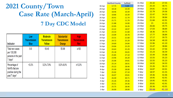### **2021 County/Town Case Rate (March-April) 7 Day CDC Model**

| <b>Indicator</b>                                                                   | Low<br><b>Transmission</b><br><b>Blue</b> | <b>Moderate</b><br><b>Transmission</b><br>Yellow | <b>Substantial</b><br><b>Transmission</b><br><b>Orange</b> | <b>High</b><br><b>Transmission</b><br><b>Red</b> |
|------------------------------------------------------------------------------------|-------------------------------------------|--------------------------------------------------|------------------------------------------------------------|--------------------------------------------------|
| Total new cases<br>per 100,000<br>persons in the past<br>$7$ days <sup>2</sup>     | $0-9$                                     | 10-49                                            | 50-99                                                      | ≥100                                             |
| Percentage of<br>NAATs that are<br>positive during the<br>past 7 days <sup>3</sup> | $< 5.0\%$                                 | 5.0%-7.9%                                        | 8.0%-9.9%                                                  | $\geq 10.0\%$                                    |

|        | <b>Hartford County</b> | Suffield | 31-Mar | 25.32        | 27.55 |
|--------|------------------------|----------|--------|--------------|-------|
| 30-Apr | 17.75                  | 9.49     | 30-Mar | 25.33        | 30.71 |
| 29-Apr | 18.18                  | 10.39    | 29-Mar | 24.81        | 31.62 |
| 28-Apr | 18.46                  | 10.39    | 28-Mar | 22.79        | 29.36 |
| 27-Apr | 18.86                  | 10.39    | 27-Mar | 22.47        | 34.33 |
| 26-Apr | 20.41                  | 11.74    | 26-Mar | 22.15        | 38.84 |
| 25-Apr | 21.71                  | 11.74    | 25-Mar | 21.84        | 42.91 |
| 24-Apr | 21.88                  | 14.00    | 24-Mar | 21           | 41.55 |
| 23-Apr | 22.05                  | 16.26    | 23-Mar | 26.66        | 39.75 |
| 22-Apr | 22.22                  | 18.97    | 22-Mar | 17.03        | 38.84 |
| 21-Apr | 23.33                  | 21.68    | 21-Mar | 18.36        | 39.75 |
| 20-Apr | 23.09                  | 20.78    | 20-Mar | 17.77        | 38.84 |
| 19-Apr | 23.31                  | 21.68    | 19-Mar | 17.17        | 39.75 |
| 18-Apr | 24.72                  | 25.29    | 18-Mar | 16.58        | 40.20 |
| 17-Apr | 24.69                  | 24.84    | 17-Mar | 15.96        | 41.10 |
| 16-Apr | 24.66                  | 25.29    | 16-Mar | 15.47        | 38.84 |
| 15-Apr | 24.63                  | 25.29    | 15-Mar | 15.42        | 37.94 |
| 14-Apr | 25.18                  | 26.65    | 14-Mar | 15.23        | 36.59 |
| 13-Apr | 25.85                  | 27.10    | 13-Mar | 15.44        | 35.68 |
| 12-Apr | 23.96                  | 26.20    | 12-Mar | <b>15.55</b> | 35.23 |
| 11-Apr | 25.06                  | 29.81    | 11-Mar | 15.55        | 35.23 |
| 10-Apr | 25.14                  | 28.91    | 10-Mar | 14.92        | 34.33 |
| 9-Apr  | 25.22                  | 28.46    | 9-Mar  | 15.26        | 36.13 |
| 8-Apr  | 25.30                  | 28.00    | 8-Mar  | 16.87        | 42.01 |
| 7-Apr  | 25.02                  | 27.10    | 7-Mar  | 18.97        | 41.55 |
| 6-Apr  | 26.07                  | 29.81    | 6-Mar  | 19.46        | 42.46 |
| 5-Apr  | 26.40                  | 30.71    | 5-Mar  | 19.95        | 42.91 |
| 4-Apr  | 25.26                  | 29.36    | 4-Mar  | 19.95        | 43.81 |
| 3-Apr  | 25.51                  | 29.36    | 3-Mar  | 20.81        | 42.91 |
| 2-Apr  | 25.75                  | 28.46    | 2-Mar  | 20.36        | 42.01 |
| 1-Apr  | 26.00                  | 28.00    | 1-Mar  | 20.66        | 41.10 |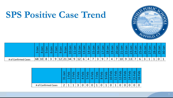

### **SPS Positive Case Trend**

|                      | $\sigma$<br>ന | 5  | ത | <b>OD</b> |        | ਨੋ<br>$\infty$ | $ \vec{\sigma} $<br>$\sigma$ | $\overline{\phantom{0}}$<br>$\sigma$ | $\sigma$ |              |          | $\sigma$<br>- 1 | $\sigma$ | $\sigma$          | $\sigma$ | $\overline{\phantom{0}}$<br>$\sigma$<br>$\infty$ | $\sigma$ | $\sigma$ | -<br>$\sigma$   | $\sigma$ l | ത.<br>n | $\mathbf{\sigma}$ |                        | ത      | $\sigma$ | <u>ത</u>                  |             | $\sigma$<br>$\overline{\mathrm{SO}}$ |
|----------------------|---------------|----|---|-----------|--------|----------------|------------------------------|--------------------------------------|----------|--------------|----------|-----------------|----------|-------------------|----------|--------------------------------------------------|----------|----------|-----------------|------------|---------|-------------------|------------------------|--------|----------|---------------------------|-------------|--------------------------------------|
| # of Confirmed Cases | 68            | 10 | 8 | ာ<br>ັ    | q<br>پ | 12             | 21                           | 34                                   |          | $\sim$<br>┸∠ | $\sigma$ | $\overline{a}$  | –        | $\mathbf{R}$<br>پ |          |                                                  | 4        |          | 10 <sub>1</sub> | 9          | 13      | ⇁                 | $\sqrt{2}$<br>$\sigma$ | ∍<br>ے |          | $\blacktriangleleft$<br>- | $\mathbf 0$ |                                      |

|                      | $\overline{\phantom{0}}$<br>$\overline{\phantom{a}}$<br>$\sigma$<br>$\infty$ | $\mathbf C$<br>$\mathbf \omega$<br>m. | $\Omega$<br>$\mathbf \omega$ |   | ¢<br>л | $\mathbf \omega$<br>ч | ധ | c | <u> က</u><br>$\mathbf \omega$<br>w | $\mathbf{\Omega}$<br>$\omega$<br>o | c<br><b>UL</b><br>↽ | ω | ധ<br>− | Φ<br>œ | ω<br>u<br>4 | d |  |
|----------------------|------------------------------------------------------------------------------|---------------------------------------|------------------------------|---|--------|-----------------------|---|---|------------------------------------|------------------------------------|---------------------|---|--------|--------|-------------|---|--|
| # of Confirmed Cases | ◠                                                                            |                                       |                              | ⌒ |        |                       | U |   | ◡                                  |                                    | u                   |   |        |        | U           |   |  |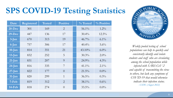## **SPS COVID-19 Testing Statistics**

| Date       | <b>Registered</b> | <b>Tested</b> | <b>Positive</b> | $\%$ Tested | % Positive |
|------------|-------------------|---------------|-----------------|-------------|------------|
| $20 - Dec$ | 301               | 169           | $\overline{2}$  | $56.1\%$    | $1.2\%$    |
| $29-Dec$   | 447               | 136           | 17              | $30.4\%$    | $12.5\%$   |
| $3$ -Jan   | 670               | 313           | 19              | $46.7\%$    | $6.1\%$    |
| 6-Jan      | 757               | 306           | 17              | $40.4\%$    | $5.6\%$    |
| $10$ -Jan  | 814               | 351           | 21              | $43.10\%$   | $6.0\%$    |
| $13$ -Jan  | 832               | 252           | 5               | $30.3\%$    | $2.0\%$    |
| $21$ -Jan  | 831               | 207           | 9               | $24.9\%$    | $4.3\%$    |
| $24$ -Jan  | 816               | 335           | 7               | $41.1\%$    | $2.1\%$    |
| $27$ -Jan  | 822               | 177           | $\theta$        | $21.5\%$    | $0.0\%$    |
| $31$ -Jan  | 820               | 299           | $\overline{1}$  | $36.5\%$    | $0.3\%$    |
| 7-Feb      | 819               | 312           | $\overline{2}$  | $38.1\%$    | $0.6\%$    |
| 14-Feb     | 818               | 274           | $\overline{0}$  | $33.5\%$    | $0.0\%$    |



*Weekly pooled testing of school populations can help to quickly and consistently identify and isolate students and staff who are circulating among the school population while infected with SARS-CoV-2 and capable of transmitting the virus to others, but lack any symptoms of COVID-19 that would otherwise indicate their infection status. - CSDE (August 2022)*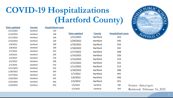## **COVID-19 Hospitalizations (Hartford County)**

| Date updated | <b>County</b> | <b>Hospitalized cases</b> |              |               |                           |                      |
|--------------|---------------|---------------------------|--------------|---------------|---------------------------|----------------------|
| 2/15/2022    | Hartford      | 129                       |              |               |                           | $\bullet$            |
| 2/14/2022    | Hartford      | 138                       | Date updated | <b>County</b> | <b>Hospitalized cases</b> |                      |
| 2/11/2022    | Hartford      | 160                       | 1/21/2022    | Hartford      | 522                       | SUFFIELD             |
| 2/10/2022    | Hartford      | 169                       | 1/20/2022    | Hartford      | 545                       |                      |
| 2/9/2022     | Hartford      | 189                       | 1/19/2022    | Hartford      | 555                       |                      |
| 2/8/2022     | Hartford      | 209                       | 1/18/2022    | Hartford      | 541                       |                      |
| 2/7/2022     | Hartford      | 207                       | 1/17/2022    | Hartford      | 548                       |                      |
| 2/4/2022     | Hartford      | 249                       | 1/14/2022    | Hartford      | 526                       |                      |
| 2/3/2022     | Hartford      | 278                       | 1/13/2022    | Hartford      | 523                       |                      |
| 2/2/2022     | Hartford      | 296                       | 1/12/2022    | Hartford      | 531                       |                      |
| 2/1/2022     | Hartford      | 316                       | 1/11/2022    | Hartford      | 513                       |                      |
| 1/31/2022    | Hartford      | 325                       |              |               |                           |                      |
| 1/28/2022    | Hartford      | 393                       | 1/10/2022    | Hartford      | 506                       |                      |
| 1/27/2022    | Hartford      | 431                       | 1/7/2022     | Hartford      | 441                       |                      |
| 1/26/2022    | Hartford      | 435                       | 1/6/2022     | Hartford      | 456                       |                      |
| 1/25/2022    | Hartford      | 456                       | 1/5/2022     | Hartford      | 421                       |                      |
| 1/24/2022    | Hartford      | 454                       | 1/4/2022     | Hartford      | 390                       | Source: data.ct.gov. |
|              |               |                           | 1/3/2022     | Hartford      | 359                       | Retrieved: February  |



February 16, 2022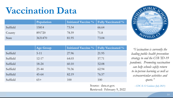### **Vaccination Data**

|          | Population | Initiated Vaccine %   Fully Vaccinated % |       |
|----------|------------|------------------------------------------|-------|
| Suffield | 15814      | 73.54                                    | 66.64 |
| County   | 891720     | 78.59                                    | 71.8  |
| State    | 3631470    | 81.95                                    | 73.04 |

|          | <b>Age Group</b> | <b>Initiated Vaccine %</b> | <b>Fully Vaccinated %</b> |
|----------|------------------|----------------------------|---------------------------|
| Suffield | $5 - 11$         | 27.96                      | 21.95                     |
| Suffield | $12 - 17$        | 64.03                      | 57.71                     |
| Suffield | $18 - 24$        | 60.10                      | 52.08                     |
| Suffield | 25-44            | 70.36                      | 62.94                     |
| Suffield | $45-64$          | 82.19                      | 76.57                     |
| Suffield | $65+$            | 100                        | 100                       |

*"Vaccination is currently the leading public health prevention strategy to end the COVID-19 pandemic. Promoting vaccination can help schools safely return to in-person learning as well as extracurricular activities and sports."*

*- CDC K-12 Guidance (July 2021)*

Source: data.ct.gov. Retrieved: February 9, 2022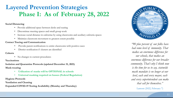### **Layered Prevention Strategies Phase I: As of February 28, 2022**

#### **Social Distancing**

- Provide additional space between desks and seating
- Discontinue meeting spaces and small group work
- Increase social distance in cafeterias by using classrooms and auxiliary cafeteria spaces
- Minimize classroom movement to greatest extent possible

#### **Contact Tracing and Communication**

- Provide parent notifications to entire classrooms with positive cases
- District notification if clusters are identified

#### **Cohorts**

• No changes to current procedures

#### **Vaccinations**

**Isolation and Quarantine Protocols (updated December 31, 2021) Mask-wearing**

- **Utilization of masks will be OPTIONAL in schools**
- **Universal masking required on busses (Federal Regulation)**

#### **Hygiene Protocols**

**Ventilation and Cleaning**

**Expanded COVID-19 Testing Availability (Monday and Thursday)**



*"90 plus percent of our folks have had some level of immunity. That makes an enormous difference for our schools, that makes an enormous difference for our broader community. That's why I think now is the time for us to say, statewide mask mandate is no longer at our level, each and every mayor, each and every superintendent can make that call for themselves."*

Lamont (2022, February 7)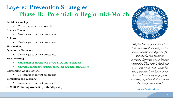### **Layered Prevention Strategies Phase II: Potential to Begin mid-March**

#### **Social Distancing**

To the greatest extent possible

#### **Contact Tracing**

• No changes to current procedures

#### **Cohorts**

• No changes to current procedures

#### **Vaccinations**

#### **Quarantine Protocols**

No changes to current procedures

#### **Mask-wearing**

- **Utilization of masks will be OPTIONAL in schools**
- **Universal masking required on busses (Federal Regulation)**

#### **Reinforcing Good Hygiene**

• No changes to current procedures

#### **Ventilation and Cleaning**

• No changes to current procedures

#### **COVID-19 Testing Availability (Mondays only)**



*"90 plus percent of our folks have had some level of immunity. That makes an enormous difference for our schools, that makes an enormous difference for our broader community. That's why I think now is the time for us to say, statewide mask mandate is no longer at our level, each and every mayor, each and every superintendent can make that call for themselves."*

Lamont (2022, February 7)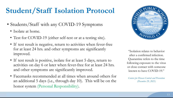### **Student/Staff Isolation Protocol**

- Students/Staff with any COVID-19 Symptoms
	- Isolate at home.
	- Test for COVID-19 (either self-test or at a testing site).
	- If test result is negative, return to activities when fever-free for at least 24 hrs. and other symptoms are significantly improved.
	- If test result is positive, isolate for at least 5 days, return to activities on day 6 or later when fever-free for at least 24 hrs. and other symptoms are significantly improved.
	- Facemasks recommended at all times when around others for an additional 5 days (i.e., through day 10). This will be on the honor system (Personal Responsibility).



"Isolation relates to behavior after a confirmed infection. Quarantine refers to the time following exposure to the virus or close contact with someone known to have COVID-19."

*Centers for Disease Control and Prevention (December 29, 2021)*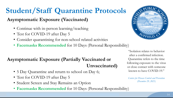### **Student/Staff Quarantine Protocols**

**Asymptomatic Exposure (Vaccinated)**

- Continue with in-person learning/teaching
- Test for COVID-19 after Day 5
- Consider quarantining for non-school related activities
- **Facemasks Recommended** for 10 Days (Personal Responsibility)

### **Asymptomatic Exposure (Partially Vaccinated or Unvaccinated)**

- 5 Day Quarantine and return to school on Day 6;
- Test for COVID-19 after Day 5
- Student Screen and Stay Remains an Option
- **Facemasks Recommended** for 10 Days (Personal Responsibility)



"Isolation relates to behavior after a confirmed infection. Quarantine refers to the time following exposure to the virus or close contact with someone known to have COVID-19."

*Centers for Disease Control and Prevention (December 29, 2021)*